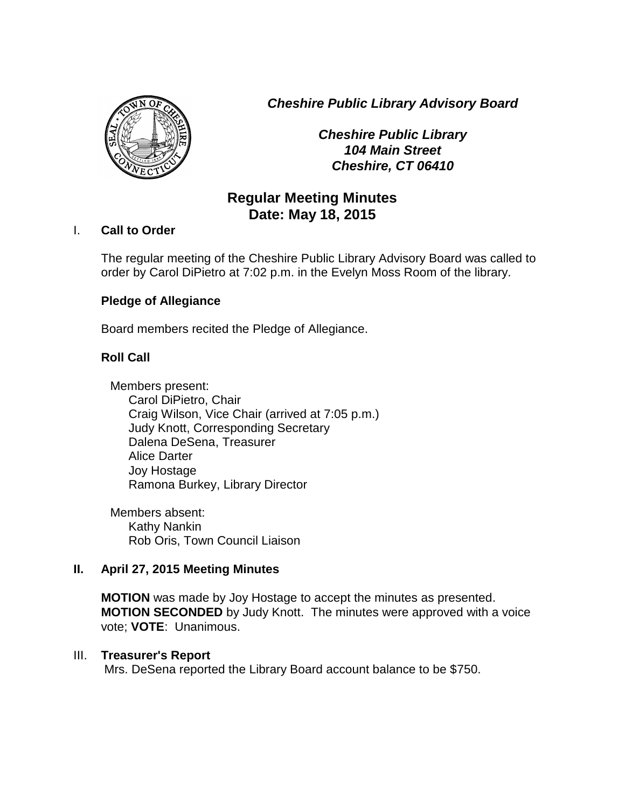*Cheshire Public Library Advisory Board*



*Cheshire Public Library 104 Main Street Cheshire, CT 06410*

# **Regular Meeting Minutes Date: May 18, 2015**

## I. **Call to Order**

The regular meeting of the Cheshire Public Library Advisory Board was called to order by Carol DiPietro at 7:02 p.m. in the Evelyn Moss Room of the library.

## **Pledge of Allegiance**

Board members recited the Pledge of Allegiance.

## **Roll Call**

Members present: Carol DiPietro, Chair Craig Wilson, Vice Chair (arrived at 7:05 p.m.) Judy Knott, Corresponding Secretary Dalena DeSena, Treasurer Alice Darter Joy Hostage Ramona Burkey, Library Director

Members absent: Kathy Nankin Rob Oris, Town Council Liaison

## **II. April 27, 2015 Meeting Minutes**

**MOTION** was made by Joy Hostage to accept the minutes as presented. **MOTION SECONDED** by Judy Knott. The minutes were approved with a voice vote; **VOTE**: Unanimous.

## III. **Treasurer's Report**

Mrs. DeSena reported the Library Board account balance to be \$750.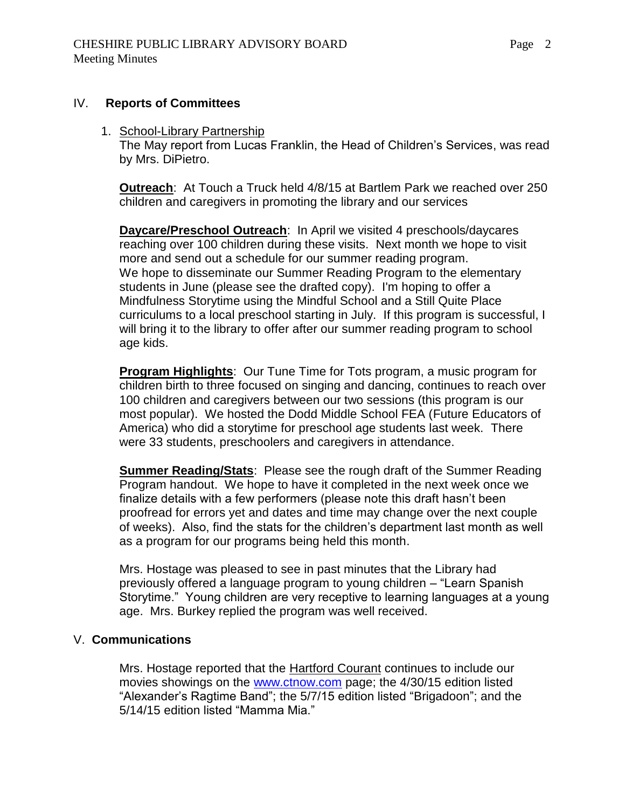### IV. **Reports of Committees**

## 1. School-Library Partnership

The May report from Lucas Franklin, the Head of Children's Services, was read by Mrs. DiPietro.

**Outreach**: At Touch a Truck held 4/8/15 at Bartlem Park we reached over 250 children and caregivers in promoting the library and our services

**Daycare/Preschool Outreach**: In April we visited 4 preschools/daycares reaching over 100 children during these visits. Next month we hope to visit more and send out a schedule for our summer reading program. We hope to disseminate our Summer Reading Program to the elementary students in June (please see the drafted copy). I'm hoping to offer a Mindfulness Storytime using the Mindful School and a Still Quite Place curriculums to a local preschool starting in July. If this program is successful, I will bring it to the library to offer after our summer reading program to school age kids.

**Program Highlights**: Our Tune Time for Tots program, a music program for children birth to three focused on singing and dancing, continues to reach over 100 children and caregivers between our two sessions (this program is our most popular). We hosted the Dodd Middle School FEA (Future Educators of America) who did a storytime for preschool age students last week. There were 33 students, preschoolers and caregivers in attendance.

**Summer Reading/Stats**: Please see the rough draft of the Summer Reading Program handout. We hope to have it completed in the next week once we finalize details with a few performers (please note this draft hasn't been proofread for errors yet and dates and time may change over the next couple of weeks). Also, find the stats for the children's department last month as well as a program for our programs being held this month.

Mrs. Hostage was pleased to see in past minutes that the Library had previously offered a language program to young children – "Learn Spanish Storytime." Young children are very receptive to learning languages at a young age. Mrs. Burkey replied the program was well received.

## V. **Communications**

Mrs. Hostage reported that the Hartford Courant continues to include our movies showings on the [www.ctnow.com](http://www.ctnow.com/) page; the 4/30/15 edition listed "Alexander's Ragtime Band"; the 5/7/15 edition listed "Brigadoon"; and the 5/14/15 edition listed "Mamma Mia."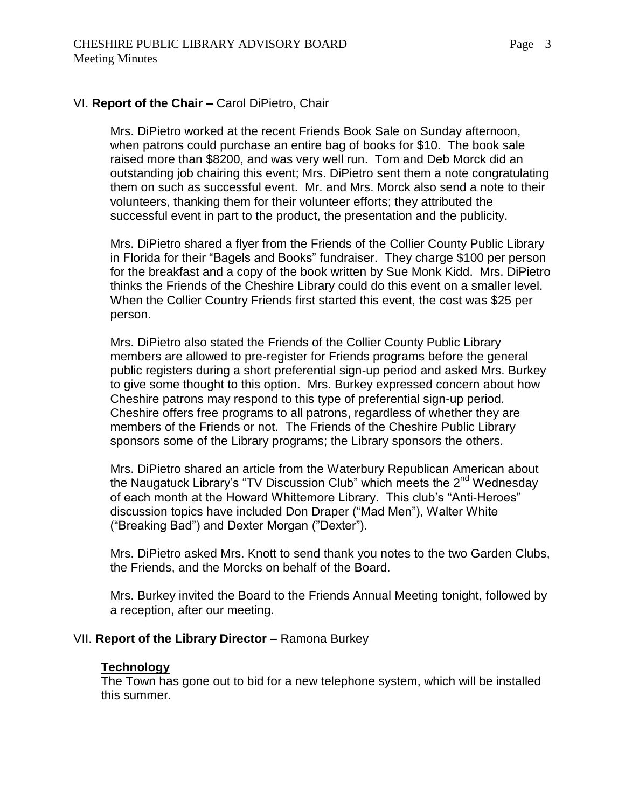## VI. **Report of the Chair –** Carol DiPietro, Chair

Mrs. DiPietro worked at the recent Friends Book Sale on Sunday afternoon, when patrons could purchase an entire bag of books for \$10. The book sale raised more than \$8200, and was very well run. Tom and Deb Morck did an outstanding job chairing this event; Mrs. DiPietro sent them a note congratulating them on such as successful event. Mr. and Mrs. Morck also send a note to their volunteers, thanking them for their volunteer efforts; they attributed the successful event in part to the product, the presentation and the publicity.

Mrs. DiPietro shared a flyer from the Friends of the Collier County Public Library in Florida for their "Bagels and Books" fundraiser. They charge \$100 per person for the breakfast and a copy of the book written by Sue Monk Kidd. Mrs. DiPietro thinks the Friends of the Cheshire Library could do this event on a smaller level. When the Collier Country Friends first started this event, the cost was \$25 per person.

Mrs. DiPietro also stated the Friends of the Collier County Public Library members are allowed to pre-register for Friends programs before the general public registers during a short preferential sign-up period and asked Mrs. Burkey to give some thought to this option. Mrs. Burkey expressed concern about how Cheshire patrons may respond to this type of preferential sign-up period. Cheshire offers free programs to all patrons, regardless of whether they are members of the Friends or not. The Friends of the Cheshire Public Library sponsors some of the Library programs; the Library sponsors the others.

Mrs. DiPietro shared an article from the Waterbury Republican American about the Naugatuck Library's "TV Discussion Club" which meets the 2<sup>nd</sup> Wednesday of each month at the Howard Whittemore Library. This club's "Anti-Heroes" discussion topics have included Don Draper ("Mad Men"), Walter White ("Breaking Bad") and Dexter Morgan ("Dexter").

Mrs. DiPietro asked Mrs. Knott to send thank you notes to the two Garden Clubs, the Friends, and the Morcks on behalf of the Board.

Mrs. Burkey invited the Board to the Friends Annual Meeting tonight, followed by a reception, after our meeting.

#### VII. **Report of the Library Director –** Ramona Burkey

#### **Technology**

The Town has gone out to bid for a new telephone system, which will be installed this summer.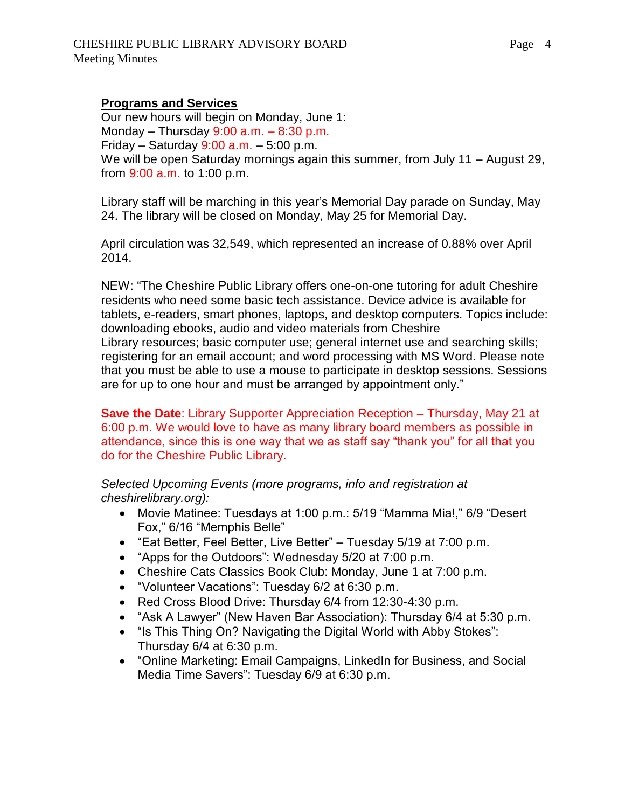## **Programs and Services**

Our new hours will begin on Monday, June 1: Monday – Thursday  $9:00$  a.m. –  $8:30$  p.m. Friday – Saturday  $9:00$  a.m. – 5:00 p.m. We will be open Saturday mornings again this summer, from July 11 – August 29, from 9:00 a.m. to 1:00 p.m.

Library staff will be marching in this year's Memorial Day parade on Sunday, May 24. The library will be closed on Monday, May 25 for Memorial Day.

April circulation was 32,549, which represented an increase of 0.88% over April 2014.

NEW: "The Cheshire Public Library offers one-on-one tutoring for adult Cheshire residents who need some basic tech assistance. Device advice is available for tablets, e-readers, smart phones, laptops, and desktop computers. Topics include: downloading ebooks, audio and video materials from Cheshire Library resources; basic computer use; general internet use and searching skills; registering for an email account; and word processing with MS Word. Please note that you must be able to use a mouse to participate in desktop sessions. Sessions are for up to one hour and must be arranged by appointment only."

**Save the Date**: Library Supporter Appreciation Reception – Thursday, May 21 at 6:00 p.m. We would love to have as many library board members as possible in attendance, since this is one way that we as staff say "thank you" for all that you do for the Cheshire Public Library.

*Selected Upcoming Events (more programs, info and registration at cheshirelibrary.org):*

- Movie Matinee: Tuesdays at 1:00 p.m.: 5/19 "Mamma Mia!," 6/9 "Desert Fox," 6/16 "Memphis Belle"
- "Eat Better, Feel Better, Live Better" Tuesday 5/19 at 7:00 p.m.
- "Apps for the Outdoors": Wednesday 5/20 at 7:00 p.m.
- Cheshire Cats Classics Book Club: Monday, June 1 at 7:00 p.m.
- "Volunteer Vacations": Tuesday 6/2 at 6:30 p.m.
- Red Cross Blood Drive: Thursday 6/4 from 12:30-4:30 p.m.
- "Ask A Lawyer" (New Haven Bar Association): Thursday 6/4 at 5:30 p.m.
- "Is This Thing On? Navigating the Digital World with Abby Stokes": Thursday 6/4 at 6:30 p.m.
- "Online Marketing: Email Campaigns, LinkedIn for Business, and Social Media Time Savers": Tuesday 6/9 at 6:30 p.m.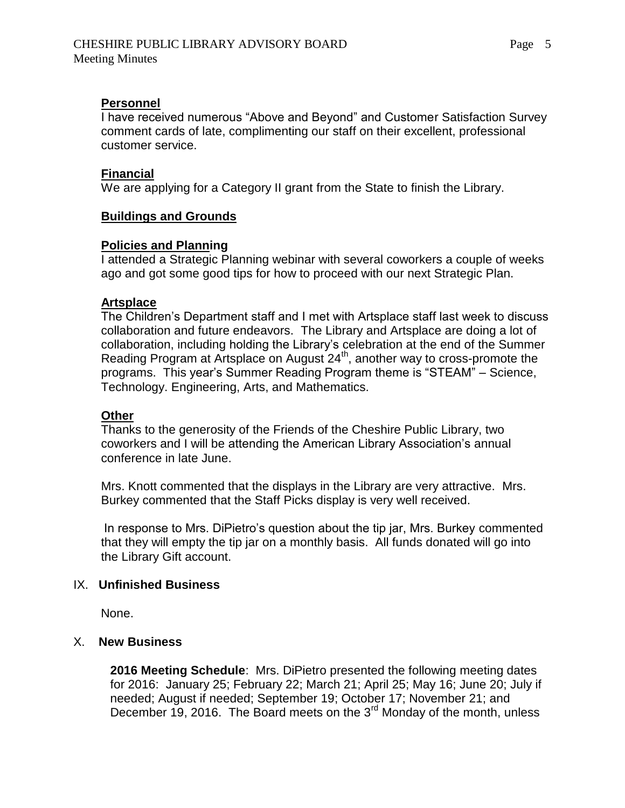## **Personnel**

I have received numerous "Above and Beyond" and Customer Satisfaction Survey comment cards of late, complimenting our staff on their excellent, professional customer service.

### **Financial**

We are applying for a Category II grant from the State to finish the Library.

## **Buildings and Grounds**

## **Policies and Planning**

I attended a Strategic Planning webinar with several coworkers a couple of weeks ago and got some good tips for how to proceed with our next Strategic Plan.

### **Artsplace**

The Children's Department staff and I met with Artsplace staff last week to discuss collaboration and future endeavors. The Library and Artsplace are doing a lot of collaboration, including holding the Library's celebration at the end of the Summer Reading Program at Artsplace on August 24<sup>th</sup>, another way to cross-promote the programs. This year's Summer Reading Program theme is "STEAM" – Science, Technology. Engineering, Arts, and Mathematics.

### **Other**

Thanks to the generosity of the Friends of the Cheshire Public Library, two coworkers and I will be attending the American Library Association's annual conference in late June.

Mrs. Knott commented that the displays in the Library are very attractive. Mrs. Burkey commented that the Staff Picks display is very well received.

In response to Mrs. DiPietro's question about the tip jar, Mrs. Burkey commented that they will empty the tip jar on a monthly basis. All funds donated will go into the Library Gift account.

### IX. **Unfinished Business**

None.

## X. **New Business**

 **2016 Meeting Schedule**: Mrs. DiPietro presented the following meeting dates for 2016: January 25; February 22; March 21; April 25; May 16; June 20; July if needed; August if needed; September 19; October 17; November 21; and December 19, 2016. The Board meets on the 3<sup>rd</sup> Monday of the month, unless